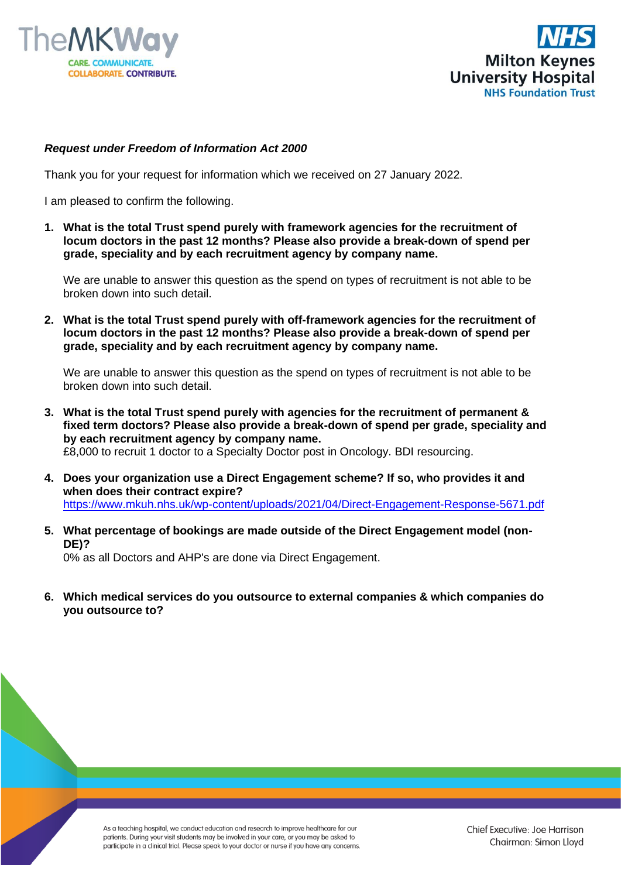



## *Request under Freedom of Information Act 2000*

Thank you for your request for information which we received on 27 January 2022.

I am pleased to confirm the following.

**1. What is the total Trust spend purely with framework agencies for the recruitment of locum doctors in the past 12 months? Please also provide a break-down of spend per grade, speciality and by each recruitment agency by company name.**

We are unable to answer this question as the spend on types of recruitment is not able to be broken down into such detail.

**2. What is the total Trust spend purely with off-framework agencies for the recruitment of locum doctors in the past 12 months? Please also provide a break-down of spend per grade, speciality and by each recruitment agency by company name.**

We are unable to answer this question as the spend on types of recruitment is not able to be broken down into such detail.

- **3. What is the total Trust spend purely with agencies for the recruitment of permanent & fixed term doctors? Please also provide a break-down of spend per grade, speciality and by each recruitment agency by company name.** £8,000 to recruit 1 doctor to a Specialty Doctor post in Oncology. BDI resourcing.
- **4. Does your organization use a Direct Engagement scheme? If so, who provides it and when does their contract expire?** <https://www.mkuh.nhs.uk/wp-content/uploads/2021/04/Direct-Engagement-Response-5671.pdf>
- **5. What percentage of bookings are made outside of the Direct Engagement model (non-DE)?** 0% as all Doctors and AHP's are done via Direct Engagement.

**6. Which medical services do you outsource to external companies & which companies do you outsource to?**

> As a teaching hospital, we conduct education and research to improve healthcare for our patients. During your visit students may be involved in your care, or you may be asked to participate in a clinical trial. Please speak to your doctor or nurse if you have any concerns.